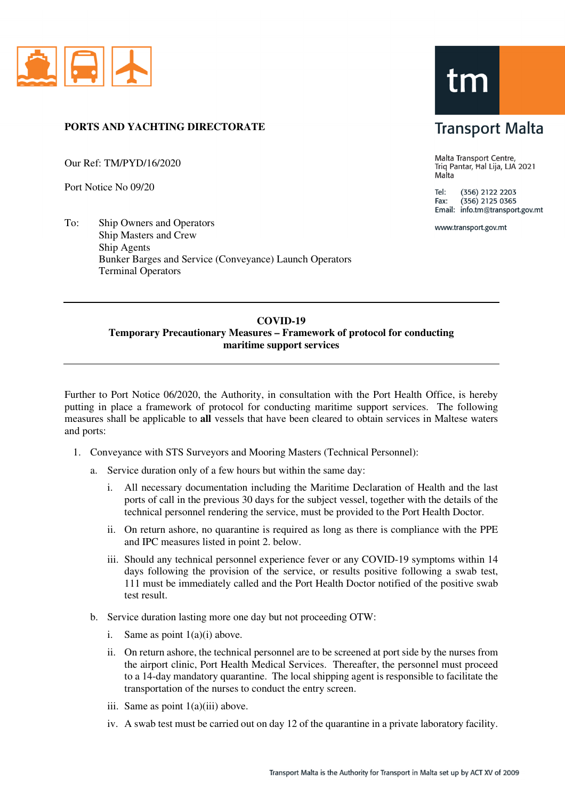

## **PORTS AND YACHTING DIRECTORATE**

Our Ref: TM/PYD/16/2020

Port Notice No 09/20

To: Ship Owners and Operators Ship Masters and Crew Ship Agents Bunker Barges and Service (Conveyance) Launch Operators Terminal Operators

## tm

## **Transport Malta**

Malta Transport Centre, Triq Pantar, Hal Lija, LJA 2021 Malta

Tel: (356) 2122 2203  $(356)$  2125 0365 Fax: Email: info.tm@transport.gov.mt

www.transport.gov.mt

## **COVID-19 Temporary Precautionary Measures – Framework of protocol for conducting maritime support services**

Further to Port Notice 06/2020, the Authority, in consultation with the Port Health Office, is hereby putting in place a framework of protocol for conducting maritime support services. The following measures shall be applicable to **all** vessels that have been cleared to obtain services in Maltese waters and ports:

- 1. Conveyance with STS Surveyors and Mooring Masters (Technical Personnel):
	- a. Service duration only of a few hours but within the same day:
		- i. All necessary documentation including the Maritime Declaration of Health and the last ports of call in the previous 30 days for the subject vessel, together with the details of the technical personnel rendering the service, must be provided to the Port Health Doctor.
		- ii. On return ashore, no quarantine is required as long as there is compliance with the PPE and IPC measures listed in point 2. below.
		- iii. Should any technical personnel experience fever or any COVID-19 symptoms within 14 days following the provision of the service, or results positive following a swab test, 111 must be immediately called and the Port Health Doctor notified of the positive swab test result.
	- b. Service duration lasting more one day but not proceeding OTW:
		- i. Same as point  $1(a)(i)$  above.
		- ii. On return ashore, the technical personnel are to be screened at port side by the nurses from the airport clinic, Port Health Medical Services. Thereafter, the personnel must proceed to a 14-day mandatory quarantine. The local shipping agent is responsible to facilitate the transportation of the nurses to conduct the entry screen.
		- iii. Same as point 1(a)(iii) above.
		- iv. A swab test must be carried out on day 12 of the quarantine in a private laboratory facility.